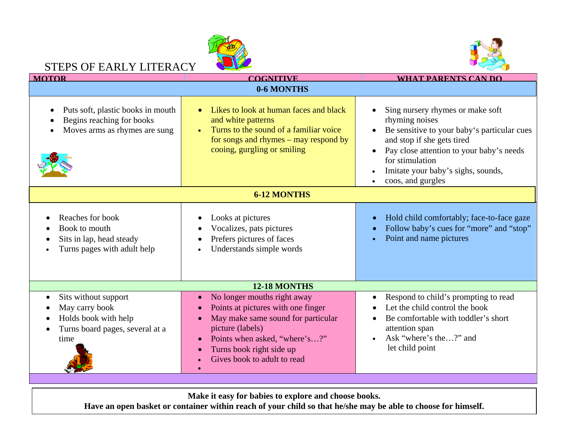

## STEPS OF EARLY LITERACY



| <b>MOTOR</b>                                                                                              | <b>COGNITIVE</b>                                                                                                                                                                                                        | <b>WHAT PARENTS CAN DO</b>                                                                                                                                                                                                                                             |
|-----------------------------------------------------------------------------------------------------------|-------------------------------------------------------------------------------------------------------------------------------------------------------------------------------------------------------------------------|------------------------------------------------------------------------------------------------------------------------------------------------------------------------------------------------------------------------------------------------------------------------|
| 0-6 MONTHS                                                                                                |                                                                                                                                                                                                                         |                                                                                                                                                                                                                                                                        |
| Puts soft, plastic books in mouth<br>Begins reaching for books<br>Moves arms as rhymes are sung           | Likes to look at human faces and black<br>and white patterns<br>Turns to the sound of a familiar voice<br>for songs and rhymes $-$ may respond by<br>cooing, gurgling or smiling                                        | Sing nursery rhymes or make soft<br>rhyming noises<br>Be sensitive to your baby's particular cues<br>and stop if she gets tired<br>Pay close attention to your baby's needs<br>for stimulation<br>Imitate your baby's sighs, sounds,<br>coos, and gurgles<br>$\bullet$ |
| <b>6-12 MONTHS</b>                                                                                        |                                                                                                                                                                                                                         |                                                                                                                                                                                                                                                                        |
| Reaches for book<br>Book to mouth<br>Sits in lap, head steady<br>Turns pages with adult help              | Looks at pictures<br>Vocalizes, pats pictures<br>Prefers pictures of faces<br>Understands simple words                                                                                                                  | Hold child comfortably; face-to-face gaze<br>Follow baby's cues for "more" and "stop"<br>Point and name pictures                                                                                                                                                       |
| 12-18 MONTHS                                                                                              |                                                                                                                                                                                                                         |                                                                                                                                                                                                                                                                        |
| Sits without support<br>May carry book<br>Holds book with help<br>Turns board pages, several at a<br>time | No longer mouths right away<br>Points at pictures with one finger<br>May make same sound for particular<br>picture (labels)<br>Points when asked, "where's?"<br>Turns book right side up<br>Gives book to adult to read | Respond to child's prompting to read<br>Let the child control the book<br>Be comfortable with toddler's short<br>attention span<br>Ask "where's the?" and<br>let child point                                                                                           |

**Make it easy for babies to explore and choose books.** 

**Have an open basket or container within reach of your child so that he/she may be able to choose for himself.**